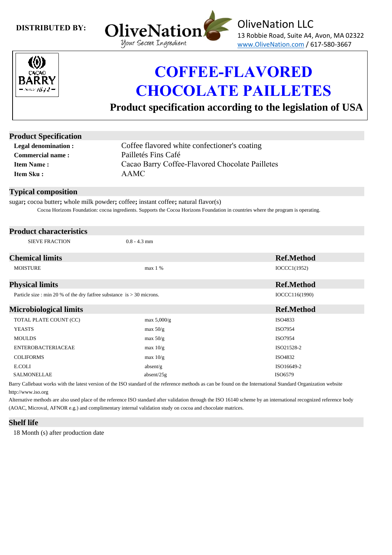### **DISTRIBUTED BY:**





## **COFFEE-FLAVORED CHOCOLATE PAILLETES**

 **Product specification according to the legislation of USA**

| <b>Product Specification</b>                                             |                                                                                                                                                                                                                                                                                                                                                              |                   |  |  |
|--------------------------------------------------------------------------|--------------------------------------------------------------------------------------------------------------------------------------------------------------------------------------------------------------------------------------------------------------------------------------------------------------------------------------------------------------|-------------------|--|--|
| <b>Legal denomination:</b>                                               | Coffee flavored white confectioner's coating                                                                                                                                                                                                                                                                                                                 |                   |  |  |
| <b>Commercial name:</b>                                                  | Pailletés Fins Café<br>Cacao Barry Coffee-Flavored Chocolate Pailletes                                                                                                                                                                                                                                                                                       |                   |  |  |
| <b>Item Name:</b>                                                        |                                                                                                                                                                                                                                                                                                                                                              |                   |  |  |
| Item Sku:                                                                | <b>AAMC</b>                                                                                                                                                                                                                                                                                                                                                  |                   |  |  |
| <b>Typical composition</b>                                               |                                                                                                                                                                                                                                                                                                                                                              |                   |  |  |
|                                                                          | sugar; cocoa butter; whole milk powder; coffee; instant coffee; natural flavor(s)<br>Cocoa Horizons Foundation: cocoa ingredients. Supports the Cocoa Horizons Foundation in countries where the program is operating.                                                                                                                                       |                   |  |  |
| <b>Product characteristics</b>                                           |                                                                                                                                                                                                                                                                                                                                                              |                   |  |  |
| <b>SIEVE FRACTION</b>                                                    | $0.8 - 4.3$ mm                                                                                                                                                                                                                                                                                                                                               |                   |  |  |
| <b>Chemical limits</b>                                                   |                                                                                                                                                                                                                                                                                                                                                              | <b>Ref.Method</b> |  |  |
| <b>MOISTURE</b>                                                          | max 1 %                                                                                                                                                                                                                                                                                                                                                      | IOCCC1(1952)      |  |  |
| <b>Physical limits</b>                                                   |                                                                                                                                                                                                                                                                                                                                                              | <b>Ref.Method</b> |  |  |
| Particle size : min 20 % of the dry fatfree substance is $>$ 30 microns. |                                                                                                                                                                                                                                                                                                                                                              | IOCCC116(1990)    |  |  |
| <b>Microbiological limits</b>                                            |                                                                                                                                                                                                                                                                                                                                                              | <b>Ref.Method</b> |  |  |
| TOTAL PLATE COUNT (CC)                                                   | max $5,000/g$                                                                                                                                                                                                                                                                                                                                                | ISO4833           |  |  |
| <b>YEASTS</b>                                                            | max $50/g$                                                                                                                                                                                                                                                                                                                                                   | ISO7954           |  |  |
| <b>MOULDS</b>                                                            | max $50/g$                                                                                                                                                                                                                                                                                                                                                   | ISO7954           |  |  |
| <b>ENTEROBACTERIACEAE</b>                                                | max $10/g$                                                                                                                                                                                                                                                                                                                                                   | ISO21528-2        |  |  |
| <b>COLIFORMS</b>                                                         | max $10/g$                                                                                                                                                                                                                                                                                                                                                   | ISO4832           |  |  |
| E.COLI                                                                   | absent/g                                                                                                                                                                                                                                                                                                                                                     | ISO16649-2        |  |  |
| <b>SALMONELLAE</b>                                                       | absent/25g                                                                                                                                                                                                                                                                                                                                                   | ISO6579           |  |  |
| http://www.iso.org                                                       | Barry Callebaut works with the latest version of the ISO standard of the reference methods as can be found on the International Standard Organization website<br>$\tau \sim 1$ $\tau \sim 1$ $\tau \sim 1$<br>$\mathbf{a}$ $\mathbf{a}$ $\mathbf{a}$ $\mathbf{a}$ $\mathbf{a}$ $\mathbf{a}$ $\mathbf{a}$ $\mathbf{a}$ $\mathbf{a}$ $\mathbf{a}$ $\mathbf{a}$ |                   |  |  |

Alternative methods are also used place of the reference ISO standard after validation through the ISO 16140 scheme by an international recognized reference body (AOAC, Microval, AFNOR e.g.) and complimentary internal validation study on cocoa and chocolate matrices.

#### **Shelf life**

18 Month (s) after production date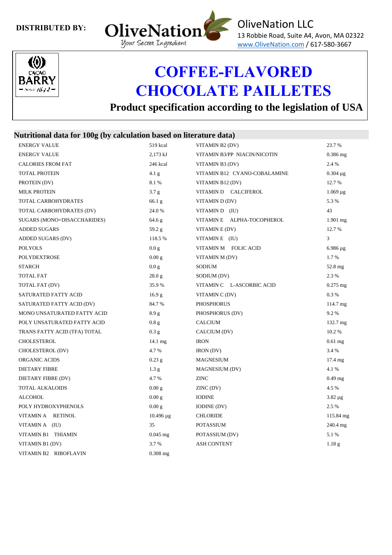### **DISTRIBUTED BY:**





# **COFFEE-FLAVORED CHOCOLATE PAILLETES**

 **Product specification according to the legislation of USA**

## **Nutritional data for 100g (by calculation based on literature data)**

| <b>ENERGY VALUE</b>          | 519 kcal          | VITAMIN B2 (DV)              | 23.7%              |
|------------------------------|-------------------|------------------------------|--------------------|
| <b>ENERGY VALUE</b>          | 2,173 kJ          | VITAMIN B3/PP NIACIN/NICOTIN | $0.386$ mg         |
| <b>CALORIES FROM FAT</b>     | 246 kcal          | VITAMIN B3 (DV)              | 2.4 %              |
| <b>TOTAL PROTEIN</b>         | 4.1 <sub>g</sub>  | VITAMIN B12 CYANO-COBALAMINE | $0.304 \mu g$      |
| PROTEIN (DV)                 | 8.1%              | VITAMIN B12 (DV)             | 12.7 %             |
| <b>MILK PROTEIN</b>          | 3.7 g             | VITAMIN D CALCIFEROL         | $1.069 \,\mu g$    |
| TOTAL CARBOHYDRATES          | 66.1 <sub>g</sub> | VITAMIN D(DV)                | 5.3 %              |
| TOTAL CARBOHYDRATES (DV)     | 24.0 %            | VITAMIN D (IU)               | 43                 |
| SUGARS (MONO+DISACCHARIDES)  | 64.6 g            | VITAMINE ALPHA-TOCOPHEROL    | $1.901$ mg         |
| <b>ADDED SUGARS</b>          | 59.2 g            | VITAMIN E (DV)               | 12.7%              |
| ADDED SUGARS (DV)            | 118.5 %           | VITAMINE (IU)                | 3                  |
| <b>POLYOLS</b>               | 0.0 g             | VITAMIN M FOLIC ACID         | $6.986 \mu g$      |
| <b>POLYDEXTROSE</b>          | 0.00 g            | VITAMIN M (DV)               | 1.7%               |
| <b>STARCH</b>                | 0.0 <sub>g</sub>  | SODIUM                       | $52.8 \text{ mg}$  |
| <b>TOTAL FAT</b>             | 28.0 g            | SODIUM (DV)                  | 2.3 %              |
| TOTAL FAT (DV)               | 35.9%             | VITAMIN C L-ASCORBIC ACID    | $0.275$ mg         |
| SATURATED FATTY ACID         | 16.9 <sub>g</sub> | VITAMIN C (DV)               | $0.3\%$            |
| SATURATED FATTY ACID (DV)    | 84.7%             | <b>PHOSPHORUS</b>            | $114.7 \text{ mg}$ |
| MONO UNSATURATED FATTY ACID  | 8.9 g             | PHOSPHORUS (DV)              | 9.2%               |
| POLY UNSATURATED FATTY ACID  | 0.8 <sub>g</sub>  | <b>CALCIUM</b>               | 132.7 mg           |
| TRANS FATTY ACID (TFA) TOTAL | 0.3 g             | CALCIUM (DV)                 | 10.2%              |
| <b>CHOLESTEROL</b>           | $14.1 \text{ mg}$ | <b>IRON</b>                  | $0.61$ mg          |
| CHOLESTEROL (DV)             | 4.7 %             | <b>IRON</b> (DV)             | 3.4 %              |
| ORGANIC ACIDS                | $0.23$ g          | <b>MAGNESIUM</b>             | $17.4 \text{ mg}$  |
| <b>DIETARY FIBRE</b>         | 1.3 <sub>g</sub>  | MAGNESIUM (DV)               | 4.1%               |
| DIETARY FIBRE (DV)           | 4.7 %             | <b>ZINC</b>                  | $0.49$ mg          |
| <b>TOTAL ALKALOIDS</b>       | 0.00 g            | ZINC(DV)                     | 4.5 %              |
| <b>ALCOHOL</b>               | 0.00 g            | <b>IODINE</b>                | $3.82 \,\mu g$     |
| POLY HYDROXYPHENOLS          | 0.00 g            | <b>IODINE</b> (DV)           | 2.5 %              |
| VITAMIN A RETINOL            | $10.496 \,\mu g$  | <b>CHLORIDE</b>              | 115.84 mg          |
| VITAMINA (IU)                | 35                | <b>POTASSIUM</b>             | 240.4 mg           |
| VITAMIN B1 THIAMIN           | $0.045$ mg        | POTASSIUM (DV)               | 5.1 %              |
| VITAMIN B1 (DV)              | 3.7%              | <b>ASH CONTENT</b>           | 1.18 <sub>g</sub>  |
| VITAMIN B2 RIBOFLAVIN        | $0.308$ mg        |                              |                    |